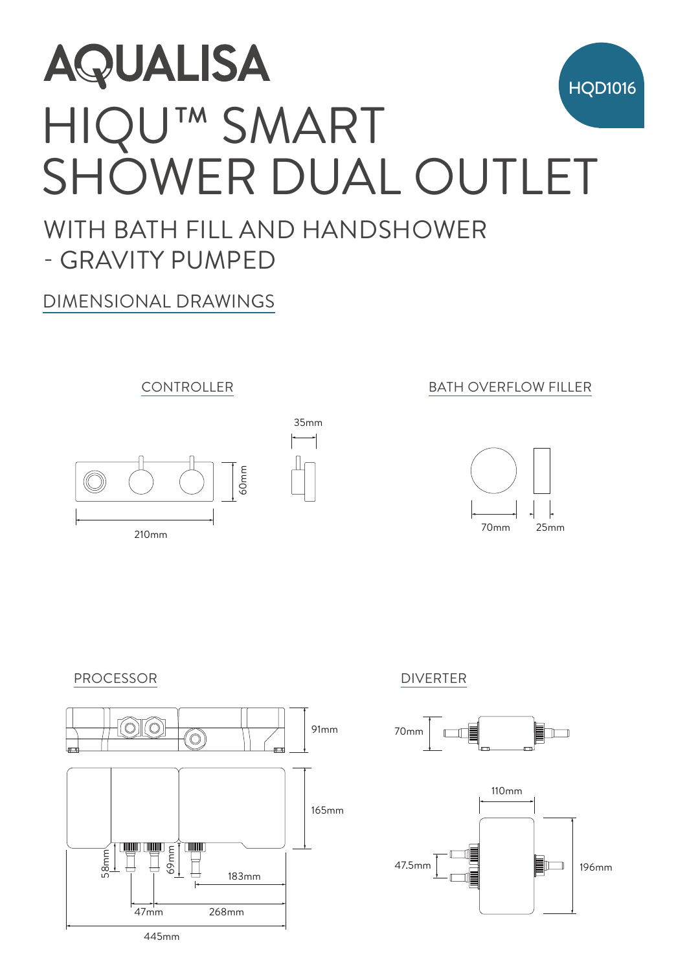# HIQU™ SMART SHOWER DUAL OUTLET **HQD1016** AQUALISA<br>HIQU<sup>TM</sup> SN<br>SHOWER<br><sup>MITH BATH FILL AN</sup><br>- GRAVITY PUMPED<br>DIMENSIONAL DRAWINGS AQUALISA 55mm

## WITH BATH FILL AND HANDSHOWER - GRAVITY PUMPED

35mm

#### DIMENSIONAL DRAWINGS



210mm

#### **210mm CONTROLLER BATH OVERFLOW FILLER**











445mm